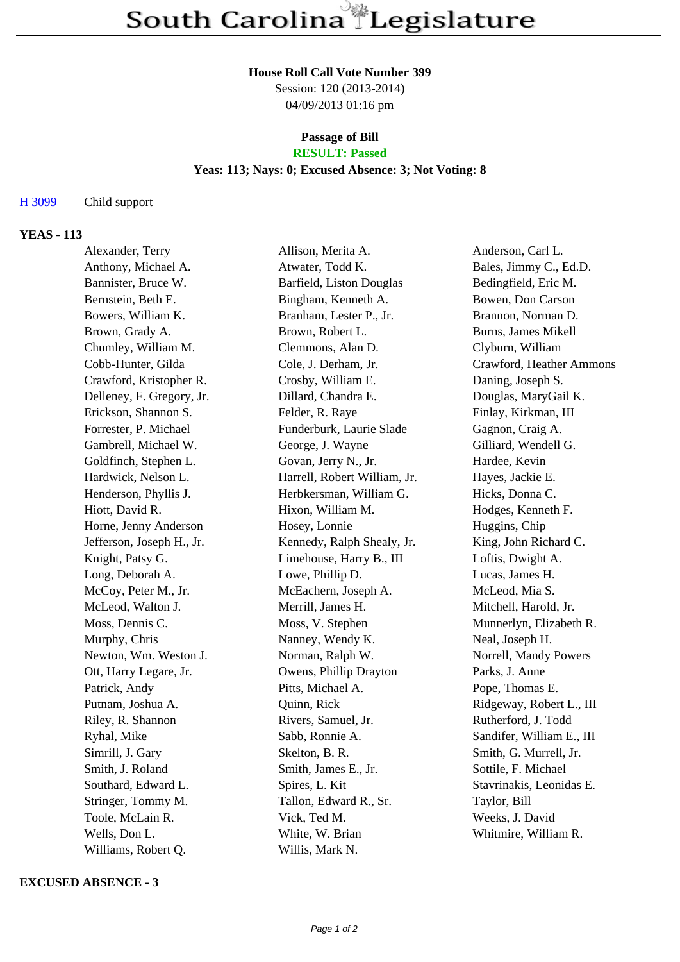#### **House Roll Call Vote Number 399**

Session: 120 (2013-2014) 04/09/2013 01:16 pm

### **Passage of Bill RESULT: Passed**

#### **Yeas: 113; Nays: 0; Excused Absence: 3; Not Voting: 8**

## H 3099 Child support

## **YEAS - 113**

| Alexander, Terry          | Allison, Merita A.           | Anderson, Carl L.         |
|---------------------------|------------------------------|---------------------------|
| Anthony, Michael A.       | Atwater, Todd K.             | Bales, Jimmy C., Ed.D.    |
| Bannister, Bruce W.       | Barfield, Liston Douglas     | Bedingfield, Eric M.      |
| Bernstein, Beth E.        | Bingham, Kenneth A.          | Bowen, Don Carson         |
| Bowers, William K.        | Branham, Lester P., Jr.      | Brannon, Norman D.        |
| Brown, Grady A.           | Brown, Robert L.             | Burns, James Mikell       |
| Chumley, William M.       | Clemmons, Alan D.            | Clyburn, William          |
| Cobb-Hunter, Gilda        | Cole, J. Derham, Jr.         | Crawford, Heather Ammons  |
| Crawford, Kristopher R.   | Crosby, William E.           | Daning, Joseph S.         |
| Delleney, F. Gregory, Jr. | Dillard, Chandra E.          | Douglas, MaryGail K.      |
| Erickson, Shannon S.      | Felder, R. Raye              | Finlay, Kirkman, III      |
| Forrester, P. Michael     | Funderburk, Laurie Slade     | Gagnon, Craig A.          |
| Gambrell, Michael W.      | George, J. Wayne             | Gilliard, Wendell G.      |
| Goldfinch, Stephen L.     | Govan, Jerry N., Jr.         | Hardee, Kevin             |
| Hardwick, Nelson L.       | Harrell, Robert William, Jr. | Hayes, Jackie E.          |
| Henderson, Phyllis J.     | Herbkersman, William G.      | Hicks, Donna C.           |
| Hiott, David R.           | Hixon, William M.            | Hodges, Kenneth F.        |
| Horne, Jenny Anderson     | Hosey, Lonnie                | Huggins, Chip             |
| Jefferson, Joseph H., Jr. | Kennedy, Ralph Shealy, Jr.   | King, John Richard C.     |
| Knight, Patsy G.          | Limehouse, Harry B., III     | Loftis, Dwight A.         |
| Long, Deborah A.          | Lowe, Phillip D.             | Lucas, James H.           |
| McCoy, Peter M., Jr.      | McEachern, Joseph A.         | McLeod, Mia S.            |
| McLeod, Walton J.         | Merrill, James H.            | Mitchell, Harold, Jr.     |
| Moss, Dennis C.           | Moss, V. Stephen             | Munnerlyn, Elizabeth R.   |
| Murphy, Chris             | Nanney, Wendy K.             | Neal, Joseph H.           |
| Newton, Wm. Weston J.     | Norman, Ralph W.             | Norrell, Mandy Powers     |
| Ott, Harry Legare, Jr.    | Owens, Phillip Drayton       | Parks, J. Anne            |
| Patrick, Andy             | Pitts, Michael A.            | Pope, Thomas E.           |
| Putnam, Joshua A.         | Quinn, Rick                  | Ridgeway, Robert L., III  |
| Riley, R. Shannon         | Rivers, Samuel, Jr.          | Rutherford, J. Todd       |
| Ryhal, Mike               | Sabb, Ronnie A.              | Sandifer, William E., III |
| Simrill, J. Gary          | Skelton, B. R.               | Smith, G. Murrell, Jr.    |
| Smith, J. Roland          | Smith, James E., Jr.         | Sottile, F. Michael       |
| Southard, Edward L.       | Spires, L. Kit               | Stavrinakis, Leonidas E.  |
| Stringer, Tommy M.        | Tallon, Edward R., Sr.       | Taylor, Bill              |
| Toole, McLain R.          | Vick, Ted M.                 | Weeks, J. David           |
| Wells, Don L.             | White, W. Brian              | Whitmire, William R.      |
| Williams, Robert Q.       | Willis, Mark N.              |                           |

#### **EXCUSED ABSENCE - 3**